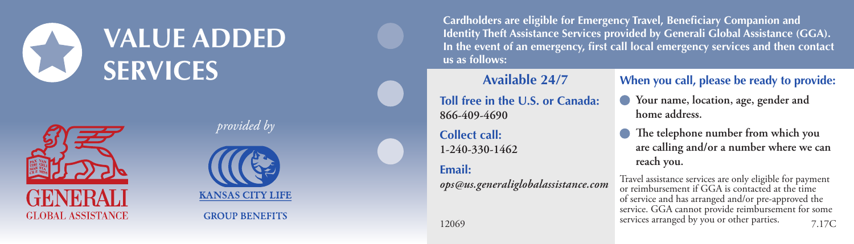# **VALUE ADDED SERVICES**



*provided by*



**GROUP BENEFITS** 

**Cardholders are eligible for Emergency Travel, Beneficiary Companion and Identity Theft Assistance Services provided by Generali Global Assistance (GGA). In the event of an emergency, first call local emergency services and then contact us as follows:**

#### **Available 24/7**

**Toll free in the U.S. or Canada: 866-409-4690**

**Collect call: 1-240-330-1462**

#### **Email:**

*ops@us.generaliglobalassistance.com*

#### **When you call, please be ready to provide:**

 **Your name, location, age, gender and home address.**

 **The telephone number from which you are calling and/or a number where we can reach you.**

Travel assistance services are only eligible for payment or reimbursement if GGA is contacted at the time of service and has arranged and/or pre-approved the service. GGA cannot provide reimbursement for some services arranged by you or other parties. 12069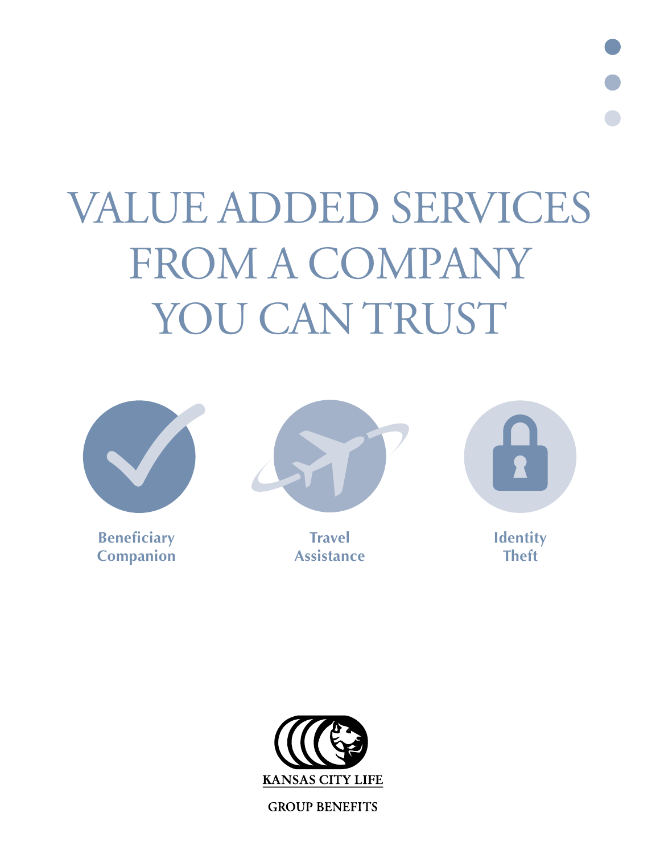VALUE ADDED SERVICES FROM A COMPANY YOU CAN TRUST



**Beneficiary Companion** 



**Travel Assistance** 



**Identity Theft**



**GROUP BENEFITS**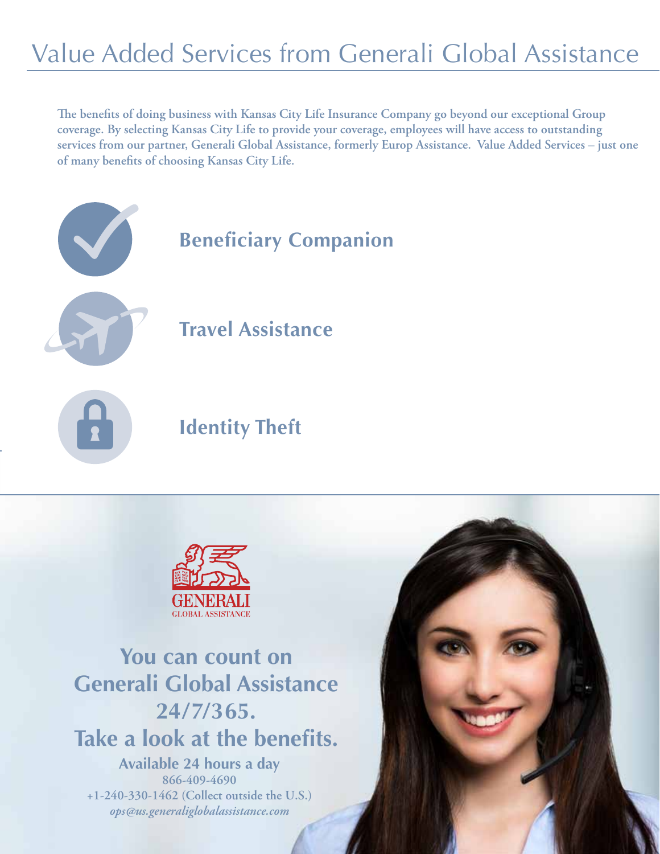# Value Added Services from Generali Global Assistance

**The benefits of doing business with Kansas City Life Insurance Company go beyond our exceptional Group coverage. By selecting Kansas City Life to provide your coverage, employees will have access to outstanding services from our partner, Generali Global Assistance, formerly Europ Assistance. Value Added Services – just one of many benefits of choosing Kansas City Life.** 





# **You can count on Generali Global Assistance 24/7/365. Take a look at the benefits.**

**Available 24 hours a day 866-409-4690 +1-240-330-1462 (Collect outside the U.S.)** *ops@us.generaliglobalassistance.com*

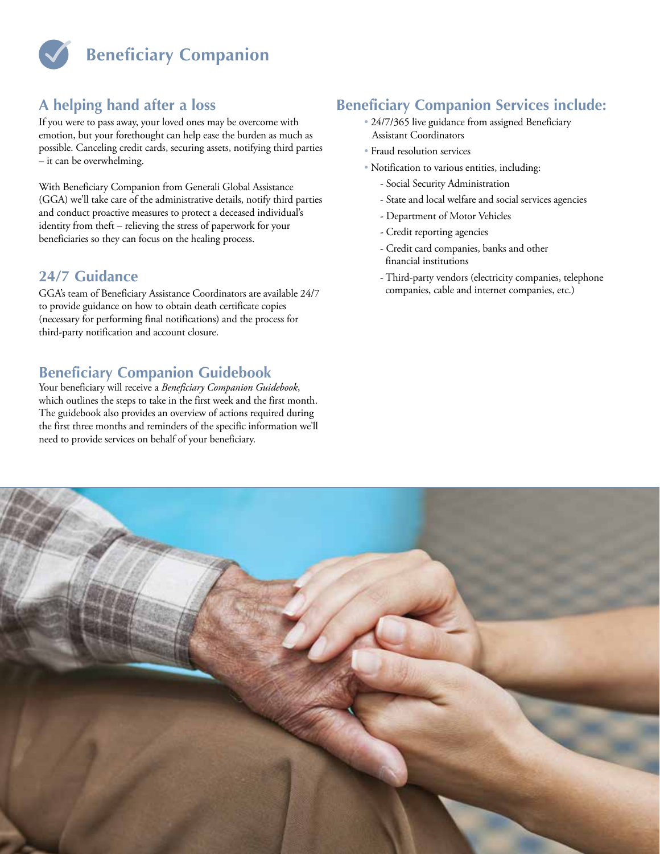

# **A helping hand after a loss**

If you were to pass away, your loved ones may be overcome with emotion, but your forethought can help ease the burden as much as possible. Canceling credit cards, securing assets, notifying third parties – it can be overwhelming.

With Beneficiary Companion from Generali Global Assistance (GGA) we'll take care of the administrative details, notify third parties and conduct proactive measures to protect a deceased individual's identity from theft – relieving the stress of paperwork for your beneficiaries so they can focus on the healing process.

### **24/7 Guidance**

GGA's team of Beneficiary Assistance Coordinators are available 24/7 to provide guidance on how to obtain death certificate copies (necessary for performing final notifications) and the process for third-party notification and account closure.

# **Beneficiary Companion Guidebook**

Your beneficiary will receive a *Beneficiary Companion Guidebook*, which outlines the steps to take in the first week and the first month. The guidebook also provides an overview of actions required during the first three months and reminders of the specific information we'll need to provide services on behalf of your beneficiary.

# **Beneficiary Companion Services include:**

- 24/7/365 live guidance from assigned Beneficiary Assistant Coordinators
- Fraud resolution services
- Notification to various entities, including:
	- Social Security Administration
	- State and local welfare and social services agencies
	- Department of Motor Vehicles
	- Credit reporting agencies
	- Credit card companies, banks and other financial institutions
	- Third-party vendors (electricity companies, telephone companies, cable and internet companies, etc.)

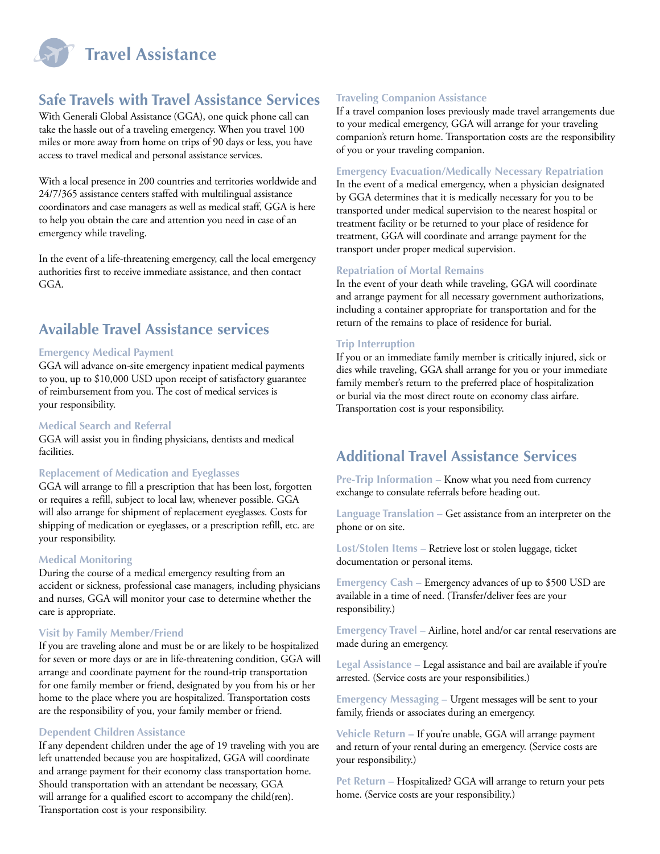

## **Safe Travels with Travel Assistance Services**

With Generali Global Assistance (GGA), one quick phone call can take the hassle out of a traveling emergency. When you travel 100 miles or more away from home on trips of 90 days or less, you have access to travel medical and personal assistance services.

With a local presence in 200 countries and territories worldwide and 24/7/365 assistance centers staffed with multilingual assistance coordinators and case managers as well as medical staff, GGA is here to help you obtain the care and attention you need in case of an emergency while traveling.

In the event of a life-threatening emergency, call the local emergency authorities first to receive immediate assistance, and then contact GGA.

## **Available Travel Assistance services**

#### **Emergency Medical Payment**

GGA will advance on-site emergency inpatient medical payments to you, up to \$10,000 USD upon receipt of satisfactory guarantee of reimbursement from you. The cost of medical services is your responsibility.

#### **Medical Search and Referral**

GGA will assist you in finding physicians, dentists and medical facilities.

#### **Replacement of Medication and Eyeglasses**

GGA will arrange to fill a prescription that has been lost, forgotten or requires a refill, subject to local law, whenever possible. GGA will also arrange for shipment of replacement eyeglasses. Costs for shipping of medication or eyeglasses, or a prescription refill, etc. are your responsibility.

#### **Medical Monitoring**

During the course of a medical emergency resulting from an accident or sickness, professional case managers, including physicians and nurses, GGA will monitor your case to determine whether the care is appropriate.

#### **Visit by Family Member/Friend**

If you are traveling alone and must be or are likely to be hospitalized for seven or more days or are in life-threatening condition, GGA will arrange and coordinate payment for the round-trip transportation for one family member or friend, designated by you from his or her home to the place where you are hospitalized. Transportation costs are the responsibility of you, your family member or friend.

#### **Dependent Children Assistance**

If any dependent children under the age of 19 traveling with you are left unattended because you are hospitalized, GGA will coordinate and arrange payment for their economy class transportation home. Should transportation with an attendant be necessary, GGA will arrange for a qualified escort to accompany the child(ren). Transportation cost is your responsibility.

### **Traveling Companion Assistance**

If a travel companion loses previously made travel arrangements due to your medical emergency, GGA will arrange for your traveling companion's return home. Transportation costs are the responsibility of you or your traveling companion.

#### **Emergency Evacuation/Medically Necessary Repatriation**

In the event of a medical emergency, when a physician designated by GGA determines that it is medically necessary for you to be transported under medical supervision to the nearest hospital or treatment facility or be returned to your place of residence for treatment, GGA will coordinate and arrange payment for the transport under proper medical supervision.

#### **Repatriation of Mortal Remains**

In the event of your death while traveling, GGA will coordinate and arrange payment for all necessary government authorizations, including a container appropriate for transportation and for the return of the remains to place of residence for burial.

#### **Trip Interruption**

If you or an immediate family member is critically injured, sick or dies while traveling, GGA shall arrange for you or your immediate family member's return to the preferred place of hospitalization or burial via the most direct route on economy class airfare. Transportation cost is your responsibility.

### **Additional Travel Assistance Services**

**Pre-Trip Information –** Know what you need from currency exchange to consulate referrals before heading out.

**Language Translation –** Get assistance from an interpreter on the phone or on site.

**Lost/Stolen Items –** Retrieve lost or stolen luggage, ticket documentation or personal items.

**Emergency Cash –** Emergency advances of up to \$500 USD are available in a time of need. (Transfer/deliver fees are your responsibility.)

**Emergency Travel –** Airline, hotel and/or car rental reservations are made during an emergency.

**Legal Assistance –** Legal assistance and bail are available if you're arrested. (Service costs are your responsibilities.)

**Emergency Messaging –** Urgent messages will be sent to your family, friends or associates during an emergency.

**Vehicle Return –** If you're unable, GGA will arrange payment and return of your rental during an emergency. (Service costs are your responsibility.)

**Pet Return –** Hospitalized? GGA will arrange to return your pets home. (Service costs are your responsibility.)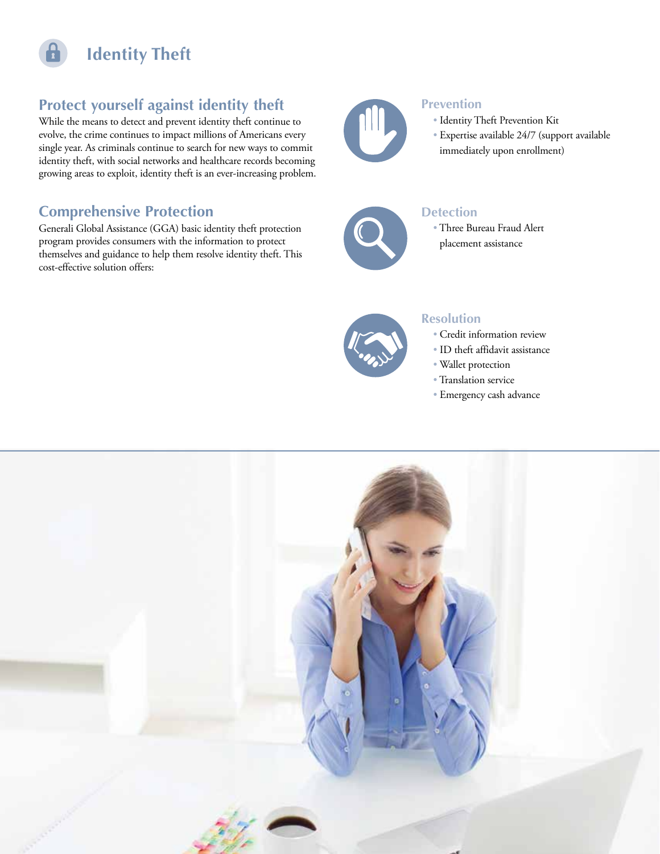

# **Protect yourself against identity theft**

While the means to detect and prevent identity theft continue to evolve, the crime continues to impact millions of Americans every single year. As criminals continue to search for new ways to commit identity theft, with social networks and healthcare records becoming growing areas to exploit, identity theft is an ever-increasing problem.

## **Comprehensive Protection**

Generali Global Assistance (GGA) basic identity theft protection program provides consumers with the information to protect themselves and guidance to help them resolve identity theft. This cost-effective solution offers:



### **Prevention**

- Identity Theft Prevention Kit
- Expertise available 24/7 (support available immediately upon enrollment)



### **Detection**

 • Three Bureau Fraud Alert placement assistance



### **Resolution**

- Credit information review
- ID theft affidavit assistance
- Wallet protection
- Translation service
- Emergency cash advance

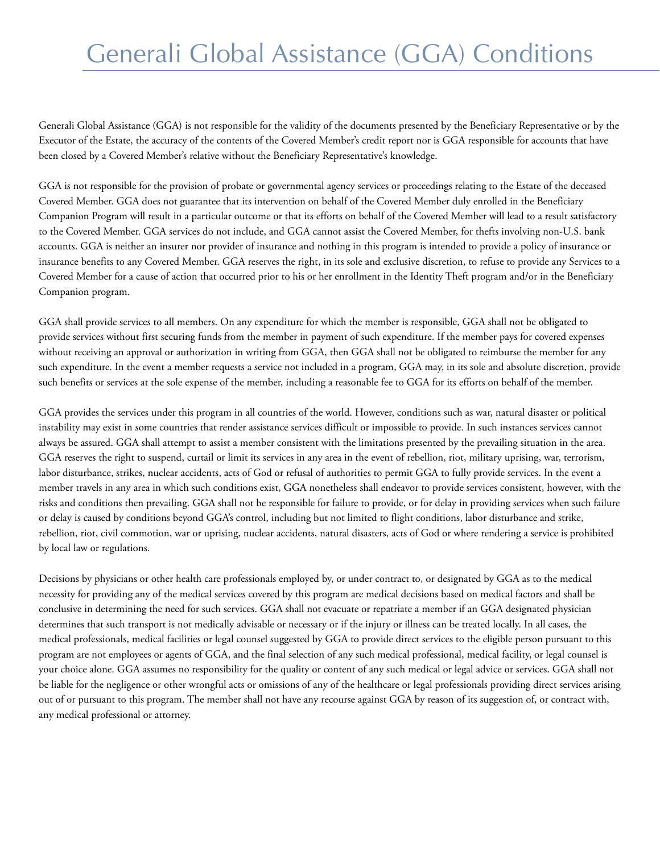# Generali Global Assistance (GGA) Conditions

Generali Global Assistance (GGA) is not responsible for the validity of the documents presented by the Beneficiary Representative or by the Executor of the Estate, the accuracy of the contents of the Covered Member's credit report nor is GGA responsible for accounts that have been closed by a Covered Member's relative without the Beneficiary Representative's knowledge.

GGA is not responsible for the provision of probate or governmental agency services or proceedings relating to the Estate of the deceased Covered Member. GGA does not guarantee that its intervention on behalf of the Covered Member duly enrolled in the Beneficiary Companion Program will result in a particular outcome or that its efforts on behalf of the Covered Member will lead to a result satisfactory to the Covered Member. GGA services do not include, and GGA cannot assist the Covered Member, for thefts involving non-U.S. bank accounts. GGA is neither an insurer nor provider of insurance and nothing in this program is intended to provide a policy of insurance or insurance benefits to any Covered Member. GGA reserves the right, in its sole and exclusive discretion, to refuse to provide any Services to a Covered Member for a cause of action that occurred prior to his or her enrollment in the Identity Theft program and/or in the Beneficiary Companion program.

GGA shall provide services to all members. On any expenditure for which the member is responsible, GGA shall not be obligated to provide services without first securing funds from the member in payment of such expenditure. If the member pays for covered expenses without receiving an approval or authorization in writing from GGA, then GGA shall not be obligated to reimburse the member for any such expenditure. In the event a member requests a service not included in a program, GGA may, in its sole and absolute discretion, provide such benefits or services at the sole expense of the member, including a reasonable fee to GGA for its efforts on behalf of the member.

GGA provides the services under this program in all countries of the world. However, conditions such as war, natural disaster or political instability may exist in some countries that render assistance services difficult or impossible to provide. In such instances services cannot always be assured. GGA shall attempt to assist a member consistent with the limitations presented by the prevailing situation in the area. GGA reserves the right to suspend, curtail or limit its services in any area in the event of rebellion, riot, military uprising, war, terrorism, labor disturbance, strikes, nuclear accidents, acts of God or refusal of authorities to permit GGA to fully provide services. In the event a member travels in any area in which such conditions exist, GGA nonetheless shall endeavor to provide services consistent, however, with the risks and conditions then prevailing. GGA shall not be responsible for failure to provide, or for delay in providing services when such failure or delay is caused by conditions beyond GGA's control, including but not limited to flight conditions, labor disturbance and strike, rebellion, riot, civil commotion, war or uprising, nuclear accidents, natural disasters, acts of God or where rendering a service is prohibited by local law or regulations.

Decisions by physicians or other health care professionals employed by, or under contract to, or designated by GGA as to the medical necessity for providing any of the medical services covered by this program are medical decisions based on medical factors and shall be conclusive in determining the need for such services. GGA shall not evacuate or repatriate a member if an GGA designated physician determines that such transport is not medically advisable or necessary or if the injury or illness can be treated locally. In all cases, the medical professionals, medical facilities or legal counsel suggested by GGA to provide direct services to the eligible person pursuant to this program are not employees or agents of GGA, and the final selection of any such medical professional, medical facility, or legal counsel is your choice alone. GGA assumes no responsibility for the quality or content of any such medical or legal advice or services. GGA shall not be liable for the negligence or other wrongful acts or omissions of any of the healthcare or legal professionals providing direct services arising out of or pursuant to this program. The member shall not have any recourse against GGA by reason of its suggestion of, or contract with, any medical professional or attorney.